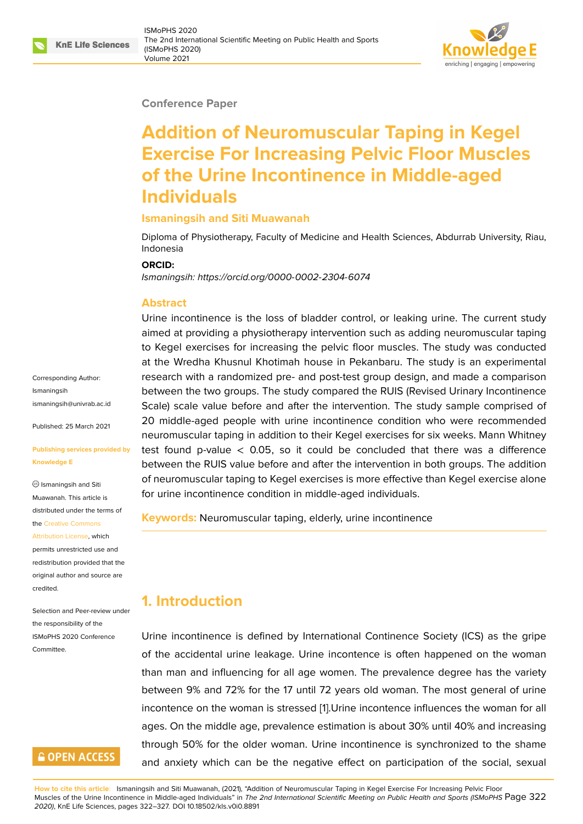#### **Conference Paper**

# **Addition of Neuromuscular Taping in Kegel Exercise For Increasing Pelvic Floor Muscles of the Urine Incontinence in Middle-aged Individuals**

#### **Ismaningsih and Siti Muawanah**

Diploma of Physiotherapy, Faculty of Medicine and Health Sciences, Abdurrab University, Riau, Indonesia

#### **ORCID:**

*Ismaningsih: https://orcid.org/0000-0002-2304-6074*

#### **Abstract**

Urine incontinence is the loss of bladder control, or leaking urine. The current study aimed at pr[oviding a physiotherapy intervention s](https://orcid.org/0000-0002-2304-6074)uch as adding neuromuscular taping to Kegel exercises for increasing the pelvic floor muscles. The study was conducted at the Wredha Khusnul Khotimah house in Pekanbaru. The study is an experimental research with a randomized pre- and post-test group design, and made a comparison between the two groups. The study compared the RUIS (Revised Urinary Incontinence Scale) scale value before and after the intervention. The study sample comprised of 20 middle-aged people with urine incontinence condition who were recommended neuromuscular taping in addition to their Kegel exercises for six weeks. Mann Whitney test found p-value  $< 0.05$ , so it could be concluded that there was a difference between the RUIS value before and after the intervention in both groups. The addition of neuromuscular taping to Kegel exercises is more effective than Kegel exercise alone for urine incontinence condition in middle-aged individuals.

#### **Keywords:** Neuromuscular taping, elderly, urine incontinence

### **1. Introduction**

Urine incontinence is defined by International Continence Society (ICS) as the gripe of the accidental urine leakage. Urine incontence is often happened on the woman than man and influencing for all age women. The prevalence degree has the variety between 9% and 72% for the 17 until 72 years old woman. The most general of urine incontence on the woman is stressed [1].Urine incontence influences the woman for all ages. On the middle age, prevalence estimation is about 30% until 40% and increasing through 50% for the older woman. Urine incontinence is synchronized to the shame and anxiety which can be the negat[iv](#page-4-0)e effect on participation of the social, sexual

**How to cite this article**: Ismaningsih and Siti Muawanah, (2021), "Addition of Neuromuscular Taping in Kegel Exercise For Increasing Pelvic Floor Muscles of the Urine Incontinence in Middle-aged Individuals" in *The 2nd International Scientific Meeting on Public Health and Sports (ISMoPHS* Page 322 *2020)*, KnE Life Sciences, pages 322–327. DOI 10.18502/kls.v0i0.8891

Corresponding Author: Ismaningsih ismaningsih@univrab.ac.id

Published: 25 March 2021

#### **[Publishing services provid](mailto:ismaningsih@univrab.ac.id)ed by Knowledge E**

 $\circledcirc$  Ismaningsih and Siti Muawanah. This article is distributed under the terms of the Creative Commons

Attribution License, which permits unrestricted use and redistribution provided that the orig[inal author and sou](https://creativecommons.org/licenses/by/4.0/)rce are [credited.](https://creativecommons.org/licenses/by/4.0/)

Selection and Peer-review under the responsibility of the ISMoPHS 2020 Conference **Committee** 

### **GOPEN ACCESS**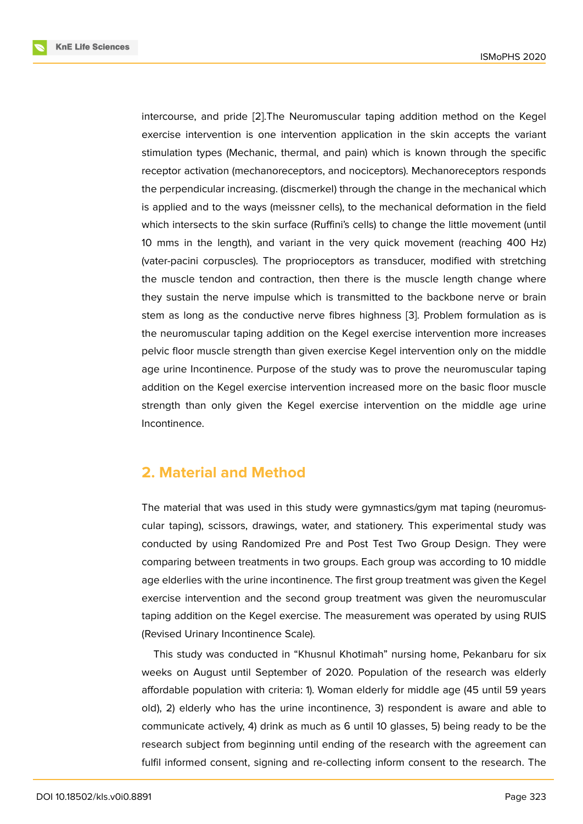intercourse, and pride [2].The Neuromuscular taping addition method on the Kegel exercise intervention is one intervention application in the skin accepts the variant stimulation types (Mechanic, thermal, and pain) which is known through the specific receptor activation (mec[ha](#page-4-1)noreceptors, and nociceptors). Mechanoreceptors responds the perpendicular increasing. (discmerkel) through the change in the mechanical which is applied and to the ways (meissner cells), to the mechanical deformation in the field which intersects to the skin surface (Ruffini's cells) to change the little movement (until 10 mms in the length), and variant in the very quick movement (reaching 400 Hz) (vater-pacini corpuscles). The proprioceptors as transducer, modified with stretching the muscle tendon and contraction, then there is the muscle length change where they sustain the nerve impulse which is transmitted to the backbone nerve or brain stem as long as the conductive nerve fibres highness [3]. Problem formulation as is the neuromuscular taping addition on the Kegel exercise intervention more increases pelvic floor muscle strength than given exercise Kegel intervention only on the middle age urine Incontinence. Purpose of the study was to pr[ov](#page-4-2)e the neuromuscular taping addition on the Kegel exercise intervention increased more on the basic floor muscle strength than only given the Kegel exercise intervention on the middle age urine Incontinence.

### **2. Material and Method**

The material that was used in this study were gymnastics/gym mat taping (neuromuscular taping), scissors, drawings, water, and stationery. This experimental study was conducted by using Randomized Pre and Post Test Two Group Design. They were comparing between treatments in two groups. Each group was according to 10 middle age elderlies with the urine incontinence. The first group treatment was given the Kegel exercise intervention and the second group treatment was given the neuromuscular taping addition on the Kegel exercise. The measurement was operated by using RUIS (Revised Urinary Incontinence Scale).

This study was conducted in "Khusnul Khotimah" nursing home, Pekanbaru for six weeks on August until September of 2020. Population of the research was elderly affordable population with criteria: 1). Woman elderly for middle age (45 until 59 years old), 2) elderly who has the urine incontinence, 3) respondent is aware and able to communicate actively, 4) drink as much as 6 until 10 glasses, 5) being ready to be the research subject from beginning until ending of the research with the agreement can fulfil informed consent, signing and re-collecting inform consent to the research. The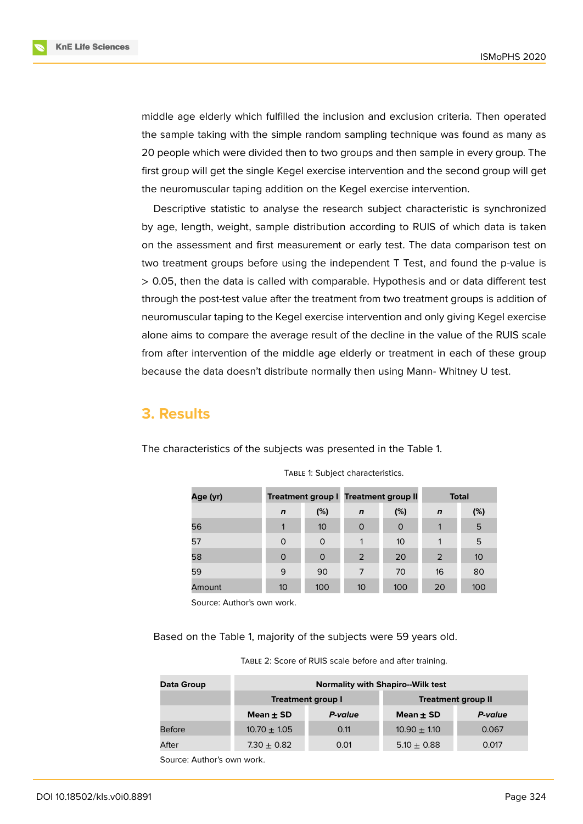

middle age elderly which fulfilled the inclusion and exclusion criteria. Then operated the sample taking with the simple random sampling technique was found as many as 20 people which were divided then to two groups and then sample in every group. The first group will get the single Kegel exercise intervention and the second group will get the neuromuscular taping addition on the Kegel exercise intervention.

Descriptive statistic to analyse the research subject characteristic is synchronized by age, length, weight, sample distribution according to RUIS of which data is taken on the assessment and first measurement or early test. The data comparison test on two treatment groups before using the independent T Test, and found the p-value is > 0.05, then the data is called with comparable. Hypothesis and or data different test through the post-test value after the treatment from two treatment groups is addition of neuromuscular taping to the Kegel exercise intervention and only giving Kegel exercise alone aims to compare the average result of the decline in the value of the RUIS scale from after intervention of the middle age elderly or treatment in each of these group because the data doesn't distribute normally then using Mann- Whitney U test.

#### **3. Results**

The characteristics of the subjects was presented in the Table 1.

| Age (yr) |             |                 | <b>Treatment group I Treatment group II</b> |          | <b>Total</b> |     |
|----------|-------------|-----------------|---------------------------------------------|----------|--------------|-----|
|          | $\mathbf n$ | (%)             | $\mathbf n$                                 | (%)      | $\mathbf n$  | (%) |
| 56       |             | 10 <sup>°</sup> | $\circ$                                     | $\Omega$ | 1            | 5   |
| 57       | $\Omega$    | $\Omega$        | 1                                           | 10       | 1            | 5   |
| 58       | 0           | $\Omega$        | 2                                           | 20       | 2            | 10  |
| 59       | 9           | 90              | 7                                           | 70       | 16           | 80  |
| Amount   | 10          | 100             | 10                                          | 100      | 20           | 100 |

TABLE 1: Subject characteristics.

Source: Author's own work.

Based on the Table 1, majority of the subjects were 59 years old.

| TABLE 2: Score of RUIS scale before and after training. |  |
|---------------------------------------------------------|--|
|---------------------------------------------------------|--|

| Data Group    | <b>Normality with Shapiro--Wilk test</b> |                          |                           |         |  |  |  |  |
|---------------|------------------------------------------|--------------------------|---------------------------|---------|--|--|--|--|
|               |                                          | <b>Treatment group I</b> | <b>Treatment group II</b> |         |  |  |  |  |
|               | Mean $\pm$ SD                            | P-value                  | Mean $\pm$ SD             | P-value |  |  |  |  |
| <b>Before</b> | $10.70 + 1.05$                           | 0.11                     | $10.90 + 1.10$            | 0.067   |  |  |  |  |
| After         | 7.30 $\pm$ 0.82                          | 0.01                     | $5.10 \pm 0.88$           | 0.017   |  |  |  |  |

Source: Author's own work.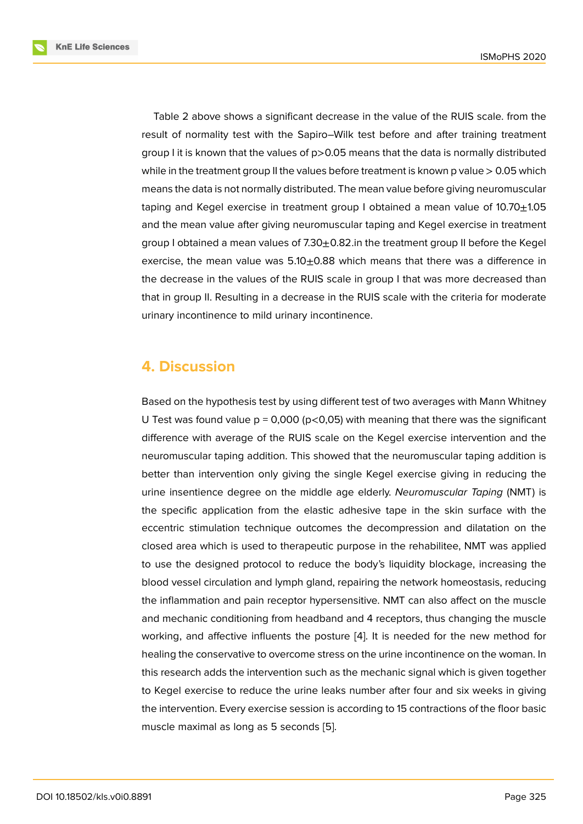Table 2 above shows a significant decrease in the value of the RUIS scale. from the result of normality test with the Sapiro–Wilk test before and after training treatment group I it is known that the values of p>0.05 means that the data is normally distributed while in the treatment group II the values before treatment is known p value  $> 0.05$  which means the data is not normally distributed. The mean value before giving neuromuscular taping and Kegel exercise in treatment group I obtained a mean value of  $10.70 \pm 1.05$ and the mean value after giving neuromuscular taping and Kegel exercise in treatment group I obtained a mean values of  $7.30\pm0.82$ . in the treatment group II before the Kegel exercise, the mean value was  $5.10\pm0.88$  which means that there was a difference in the decrease in the values of the RUIS scale in group I that was more decreased than that in group II. Resulting in a decrease in the RUIS scale with the criteria for moderate urinary incontinence to mild urinary incontinence.

### **4. Discussion**

Based on the hypothesis test by using different test of two averages with Mann Whitney U Test was found value  $p = 0,000$  ( $p < 0,05$ ) with meaning that there was the significant difference with average of the RUIS scale on the Kegel exercise intervention and the neuromuscular taping addition. This showed that the neuromuscular taping addition is better than intervention only giving the single Kegel exercise giving in reducing the urine insentience degree on the middle age elderly. *Neuromuscular Taping* (NMT) is the specific application from the elastic adhesive tape in the skin surface with the eccentric stimulation technique outcomes the decompression and dilatation on the closed area which is used to therapeutic purpose in the rehabilitee, NMT was applied to use the designed protocol to reduce the body's liquidity blockage, increasing the blood vessel circulation and lymph gland, repairing the network homeostasis, reducing the inflammation and pain receptor hypersensitive. NMT can also affect on the muscle and mechanic conditioning from headband and 4 receptors, thus changing the muscle working, and affective influents the posture [4]. It is needed for the new method for healing the conservative to overcome stress on the urine incontinence on the woman. In this research adds the intervention such as the mechanic signal which is given together to Kegel exercise to reduce the urine leaks n[um](#page-5-0)ber after four and six weeks in giving the intervention. Every exercise session is according to 15 contractions of the floor basic muscle maximal as long as 5 seconds [5].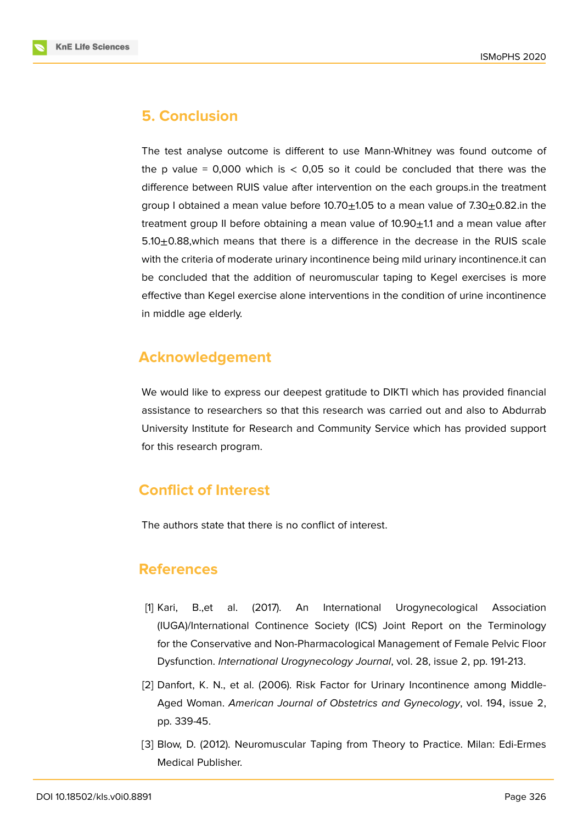

### **5. Conclusion**

The test analyse outcome is different to use Mann-Whitney was found outcome of the p value = 0,000 which is  $< 0.05$  so it could be concluded that there was the difference between RUIS value after intervention on the each groups.in the treatment group I obtained a mean value before  $10.70 \pm 1.05$  to a mean value of 7.30 $\pm$ 0.82.in the treatment group II before obtaining a mean value of  $10.90\pm1.1$  and a mean value after  $5.10\pm0.88$ , which means that there is a difference in the decrease in the RUIS scale with the criteria of moderate urinary incontinence being mild urinary incontinence.it can be concluded that the addition of neuromuscular taping to Kegel exercises is more effective than Kegel exercise alone interventions in the condition of urine incontinence in middle age elderly.

### **Acknowledgement**

We would like to express our deepest gratitude to DIKTI which has provided financial assistance to researchers so that this research was carried out and also to Abdurrab University Institute for Research and Community Service which has provided support for this research program.

## **Conflict of Interest**

The authors state that there is no conflict of interest.

### **References**

- <span id="page-4-0"></span>[1] Kari, B.,et al. (2017). An International Urogynecological Association (IUGA)/International Continence Society (ICS) Joint Report on the Terminology for the Conservative and Non-Pharmacological Management of Female Pelvic Floor Dysfunction. *International Urogynecology Journal*, vol. 28, issue 2, pp. 191-213.
- <span id="page-4-1"></span>[2] Danfort, K. N., et al. (2006). Risk Factor for Urinary Incontinence among Middle-Aged Woman. *American Journal of Obstetrics and Gynecology*, vol. 194, issue 2, pp. 339-45.
- <span id="page-4-2"></span>[3] Blow, D. (2012). Neuromuscular Taping from Theory to Practice. Milan: Edi-Ermes Medical Publisher.